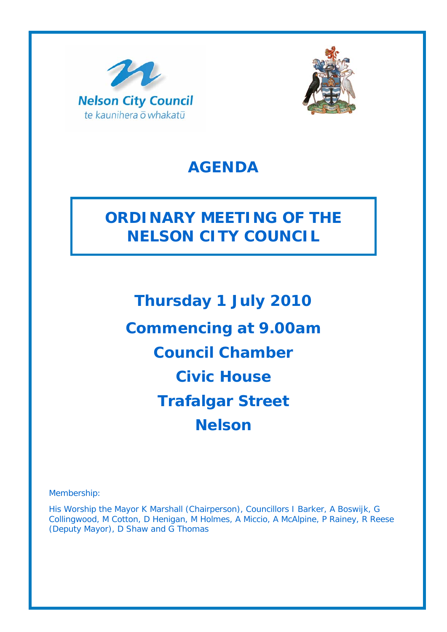



## **AGENDA**

## **ORDINARY MEETING OF THE NELSON CITY COUNCIL**

**Thursday 1 July 2010 Commencing at 9.00am Council Chamber Civic House Trafalgar Street Nelson** 

Membership:

His Worship the Mayor K Marshall (Chairperson), Councillors I Barker, A Boswijk, G Collingwood, M Cotton, D Henigan, M Holmes, A Miccio, A McAlpine, P Rainey, R Reese (Deputy Mayor), D Shaw and G Thomas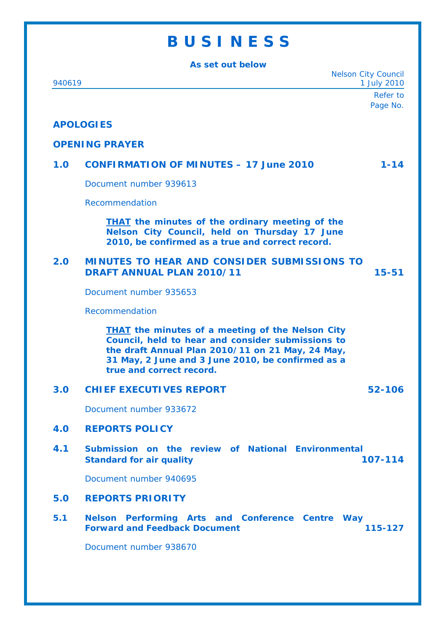# **B U S I N E S S**

| As set out below |                                                                                                                                                                                                                                                   |
|------------------|---------------------------------------------------------------------------------------------------------------------------------------------------------------------------------------------------------------------------------------------------|
| 940619           | <b>Nelson City Council</b><br>1 July 2010                                                                                                                                                                                                         |
|                  | Refer to                                                                                                                                                                                                                                          |
|                  | Page No.                                                                                                                                                                                                                                          |
|                  | <b>APOLOGIES</b>                                                                                                                                                                                                                                  |
|                  | <b>OPENING PRAYER</b>                                                                                                                                                                                                                             |
| 1.0              | <b>CONFIRMATION OF MINUTES - 17 June 2010</b><br>$1 - 14$                                                                                                                                                                                         |
|                  | Document number 939613                                                                                                                                                                                                                            |
|                  | Recommendation                                                                                                                                                                                                                                    |
|                  | <b>THAT</b> the minutes of the ordinary meeting of the<br>Nelson City Council, held on Thursday 17 June<br>2010, be confirmed as a true and correct record.                                                                                       |
| 2.0              | <b>MINUTES TO HEAR AND CONSIDER SUBMISSIONS TO</b><br><b>DRAFT ANNUAL PLAN 2010/11</b><br>$15 - 51$                                                                                                                                               |
|                  | Document number 935653                                                                                                                                                                                                                            |
|                  | Recommendation                                                                                                                                                                                                                                    |
|                  | <b>THAT</b> the minutes of a meeting of the Nelson City<br>Council, held to hear and consider submissions to<br>the draft Annual Plan 2010/11 on 21 May, 24 May,<br>31 May, 2 June and 3 June 2010, be confirmed as a<br>true and correct record. |
| 3.0              | <b>CHIEF EXECUTIVES REPORT</b><br>52-106                                                                                                                                                                                                          |
|                  | Document number 933672                                                                                                                                                                                                                            |
| 4.0              | <b>REPORTS POLICY</b>                                                                                                                                                                                                                             |
| 4.1              | Submission on the review of National Environmental<br>107-114<br><b>Standard for air quality</b>                                                                                                                                                  |
|                  | Document number 940695                                                                                                                                                                                                                            |
| 5.0              | <b>REPORTS PRIORITY</b>                                                                                                                                                                                                                           |
| 5.1              | Nelson Performing Arts and Conference Centre Way<br><b>Forward and Feedback Document</b><br>115-127                                                                                                                                               |
|                  | Document number 938670                                                                                                                                                                                                                            |
|                  |                                                                                                                                                                                                                                                   |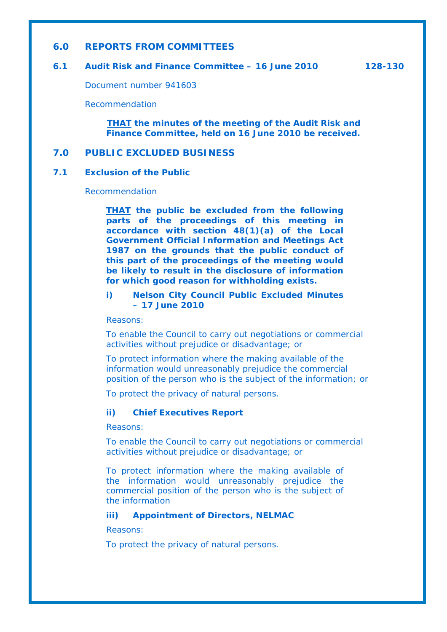#### **6.0 REPORTS FROM COMMITTEES**

#### **6.1 Audit Risk and Finance Committee – 16 June 2010 128-130**

Document number 941603

Recommendation

*THAT the minutes of the meeting of the Audit Risk and Finance Committee, held on 16 June 2010 be received.*

### **7.0 PUBLIC EXCLUDED BUSINESS**

#### **7.1 Exclusion of the Public**

Recommendation

*THAT the public be excluded from the following parts of the proceedings of this meeting in accordance with section 48(1)(a) of the Local Government Official Information and Meetings Act 1987 on the grounds that the public conduct of this part of the proceedings of the meeting would be likely to result in the disclosure of information for which good reason for withholding exists.* 

#### *i) Nelson City Council Public Excluded Minutes – 17 June 2010*

*Reasons:* 

*To enable the Council to carry out negotiations or commercial activities without prejudice or disadvantage; or* 

*To protect information where the making available of the information would unreasonably prejudice the commercial position of the person who is the subject of the information; or* 

*To protect the privacy of natural persons.* 

#### *ii) Chief Executives Report*

*Reasons:* 

*To enable the Council to carry out negotiations or commercial activities without prejudice or disadvantage; or* 

*To protect information where the making available of the information would unreasonably prejudice the commercial position of the person who is the subject of the information*

*iii) Appointment of Directors, NELMAC* 

*Reasons:* 

*To protect the privacy of natural persons.*